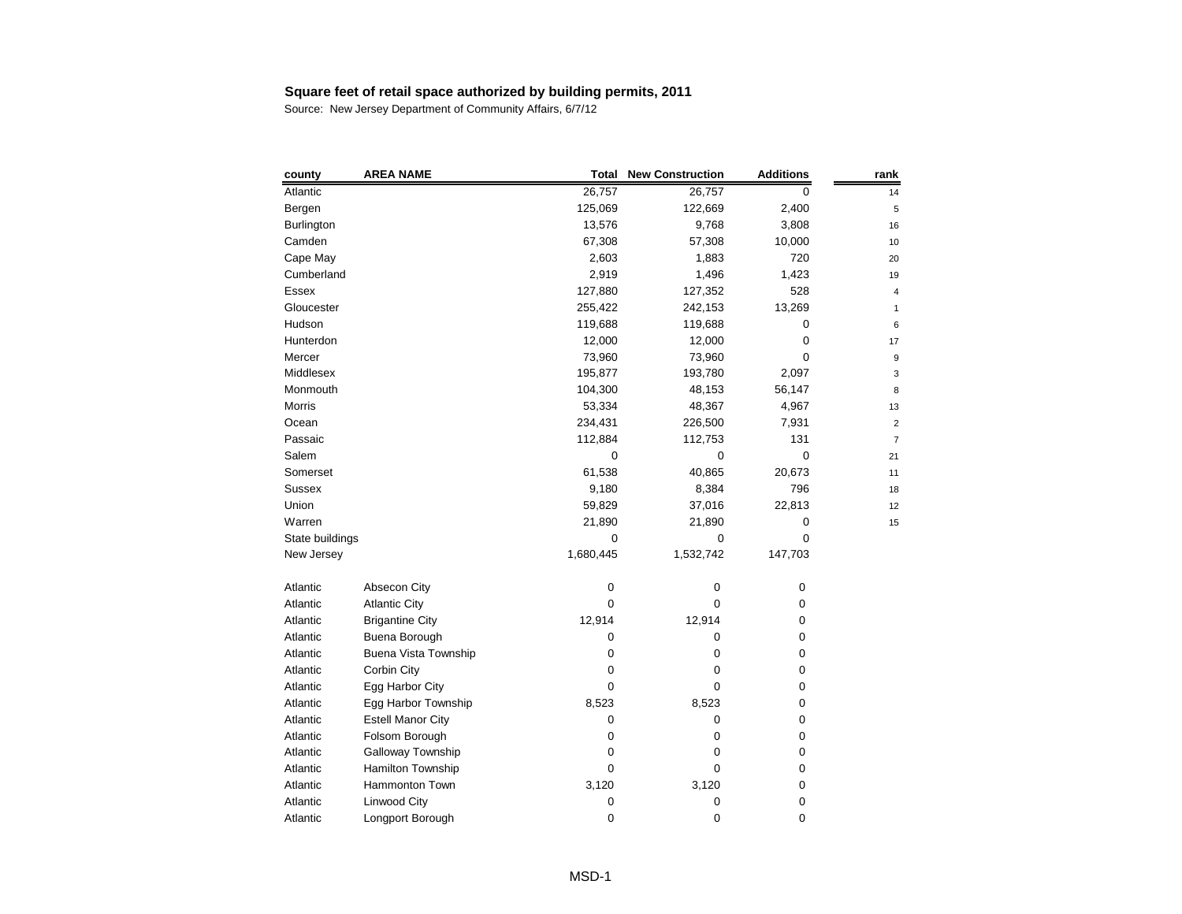| county          | <b>AREA NAME</b>            | <b>Total</b> | <b>New Construction</b> | <b>Additions</b> | rank |
|-----------------|-----------------------------|--------------|-------------------------|------------------|------|
| Atlantic        |                             | 26,757       | 26,757                  | 0                | 14   |
| Bergen          |                             | 125,069      | 122,669                 | 2,400            | 5    |
| Burlington      |                             | 13,576       | 9,768                   | 3,808            | 16   |
| Camden          |                             | 67,308       | 57,308                  | 10,000           | 10   |
| Cape May        |                             | 2,603        | 1,883                   | 720              | 20   |
| Cumberland      |                             | 2,919        | 1,496                   | 1,423            | 19   |
| Essex           |                             | 127,880      | 127,352                 | 528              | 4    |
| Gloucester      |                             | 255,422      | 242,153                 | 13,269           |      |
| Hudson          |                             | 119,688      | 119,688                 | 0                | Е    |
| Hunterdon       |                             | 12,000       | 12,000                  | 0                | 17   |
| Mercer          |                             | 73,960       | 73,960                  | 0                | ĉ    |
| Middlesex       |                             | 195,877      | 193,780                 | 2,097            | З    |
| Monmouth        |                             | 104,300      | 48,153                  | 56,147           | 8    |
| Morris          |                             | 53,334       | 48,367                  | 4,967            | 13   |
| Ocean           |                             | 234,431      | 226,500                 | 7,931            | 2    |
| Passaic         |                             | 112,884      | 112,753                 | 131              | 7    |
| Salem           |                             | 0            | 0                       | 0                | 21   |
| Somerset        |                             | 61,538       | 40,865                  | 20,673           | 11   |
| <b>Sussex</b>   |                             | 9,180        | 8,384                   | 796              | 18   |
| Union           |                             | 59,829       | 37,016                  | 22,813           | 12   |
| Warren          |                             | 21,890       | 21,890                  | 0                | 15   |
| State buildings |                             | 0            | 0                       | 0                |      |
| New Jersey      |                             | 1,680,445    | 1,532,742               | 147,703          |      |
| Atlantic        | Absecon City                | 0            | 0                       | 0                |      |
| Atlantic        | <b>Atlantic City</b>        | 0            | 0                       | 0                |      |
| Atlantic        | <b>Brigantine City</b>      | 12,914       | 12,914                  | 0                |      |
| Atlantic        | Buena Borough               | 0            | 0                       | 0                |      |
| Atlantic        | <b>Buena Vista Township</b> | 0            | 0                       | 0                |      |
| Atlantic        | Corbin City                 | 0            | 0                       | 0                |      |
| Atlantic        | Egg Harbor City             | 0            | 0                       | 0                |      |
| Atlantic        | Egg Harbor Township         | 8,523        | 8,523                   | 0                |      |
| Atlantic        | <b>Estell Manor City</b>    | 0            | 0                       | 0                |      |
| Atlantic        | Folsom Borough              | 0            | 0                       | 0                |      |
| Atlantic        | Galloway Township           | 0            | 0                       | 0                |      |
| Atlantic        | Hamilton Township           | 0            | 0                       | 0                |      |
| Atlantic        | Hammonton Town              | 3,120        | 3,120                   | 0                |      |
| Atlantic        | Linwood City                | 0            | 0                       | 0                |      |
| Atlantic        | Longport Borough            | 0            | 0                       | 0                |      |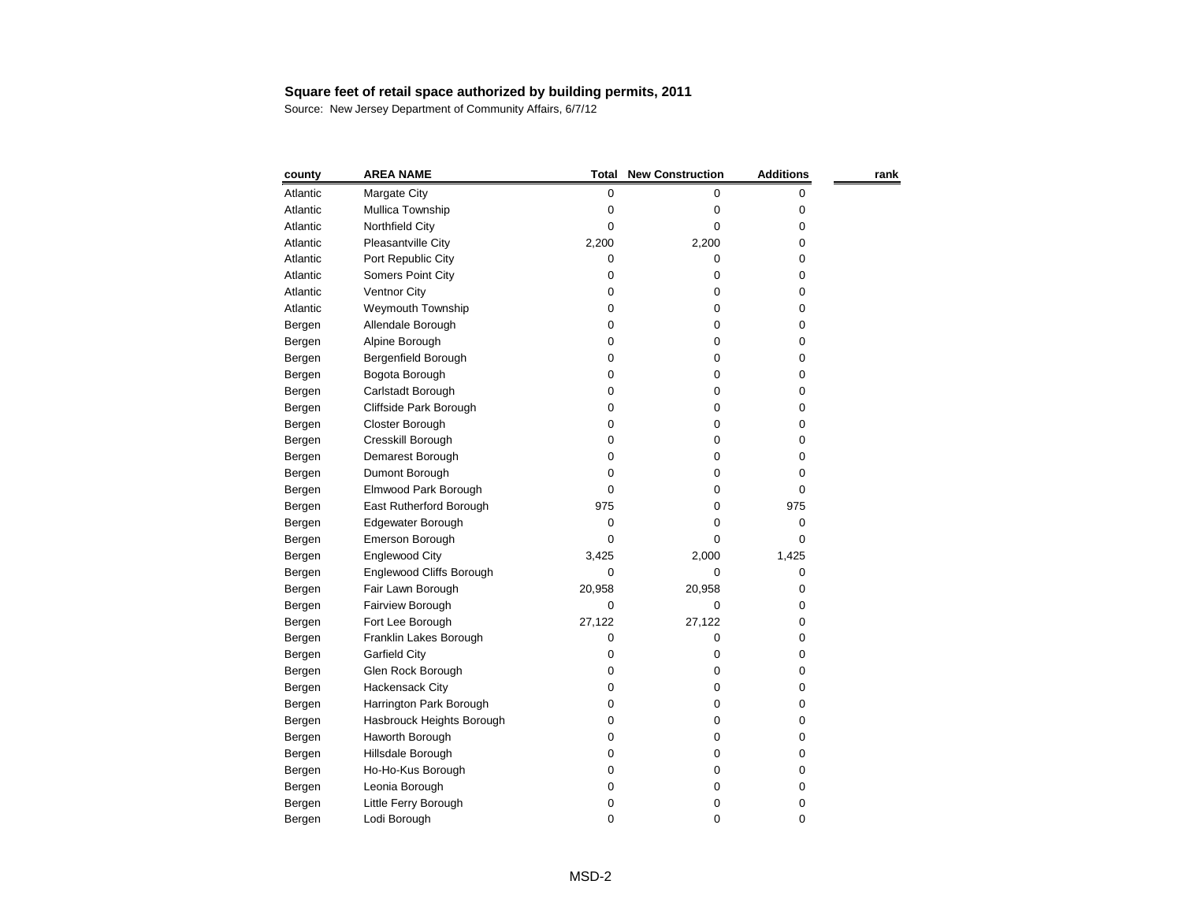| county   | <b>AREA NAME</b>          | <b>Total</b> | <b>New Construction</b> | <b>Additions</b> | rank |
|----------|---------------------------|--------------|-------------------------|------------------|------|
| Atlantic | Margate City              | 0            | 0                       | 0                |      |
| Atlantic | Mullica Township          | 0            | 0                       | 0                |      |
| Atlantic | Northfield City           | 0            | 0                       | 0                |      |
| Atlantic | Pleasantville City        | 2,200        | 2,200                   | 0                |      |
| Atlantic | Port Republic City        | 0            | 0                       | 0                |      |
| Atlantic | Somers Point City         | 0            | 0                       | 0                |      |
| Atlantic | <b>Ventnor City</b>       | 0            | 0                       | 0                |      |
| Atlantic | Weymouth Township         | 0            | 0                       | 0                |      |
| Bergen   | Allendale Borough         | 0            | 0                       | 0                |      |
| Bergen   | Alpine Borough            | 0            | 0                       | 0                |      |
| Bergen   | Bergenfield Borough       | 0            | 0                       | 0                |      |
| Bergen   | Bogota Borough            | 0            | 0                       | 0                |      |
| Bergen   | Carlstadt Borough         | 0            | 0                       | 0                |      |
| Bergen   | Cliffside Park Borough    | 0            | 0                       | 0                |      |
| Bergen   | Closter Borough           | 0            | 0                       | 0                |      |
| Bergen   | Cresskill Borough         | 0            | 0                       | 0                |      |
| Bergen   | Demarest Borough          | 0            | 0                       | 0                |      |
| Bergen   | Dumont Borough            | 0            | 0                       | 0                |      |
| Bergen   | Elmwood Park Borough      | 0            | 0                       | 0                |      |
| Bergen   | East Rutherford Borough   | 975          | 0                       | 975              |      |
| Bergen   | Edgewater Borough         | 0            | 0                       | 0                |      |
| Bergen   | Emerson Borough           | 0            | 0                       | 0                |      |
| Bergen   | <b>Englewood City</b>     | 3,425        | 2,000                   | 1,425            |      |
| Bergen   | Englewood Cliffs Borough  | 0            | 0                       | 0                |      |
| Bergen   | Fair Lawn Borough         | 20,958       | 20,958                  | 0                |      |
| Bergen   | Fairview Borough          | 0            | 0                       | 0                |      |
| Bergen   | Fort Lee Borough          | 27,122       | 27,122                  | 0                |      |
| Bergen   | Franklin Lakes Borough    | 0            | 0                       | 0                |      |
| Bergen   | <b>Garfield City</b>      | 0            | 0                       | 0                |      |
| Bergen   | Glen Rock Borough         | 0            | 0                       | 0                |      |
| Bergen   | Hackensack City           | 0            | 0                       | 0                |      |
| Bergen   | Harrington Park Borough   | 0            | 0                       | 0                |      |
| Bergen   | Hasbrouck Heights Borough | 0            | 0                       | 0                |      |
| Bergen   | Haworth Borough           | 0            | 0                       | 0                |      |
| Bergen   | Hillsdale Borough         | 0            | 0                       | 0                |      |
| Bergen   | Ho-Ho-Kus Borough         | 0            | 0                       | 0                |      |
| Bergen   | Leonia Borough            | 0            | 0                       | 0                |      |
| Bergen   | Little Ferry Borough      | 0            | 0                       | 0                |      |
| Bergen   | Lodi Borough              | 0            | 0                       | 0                |      |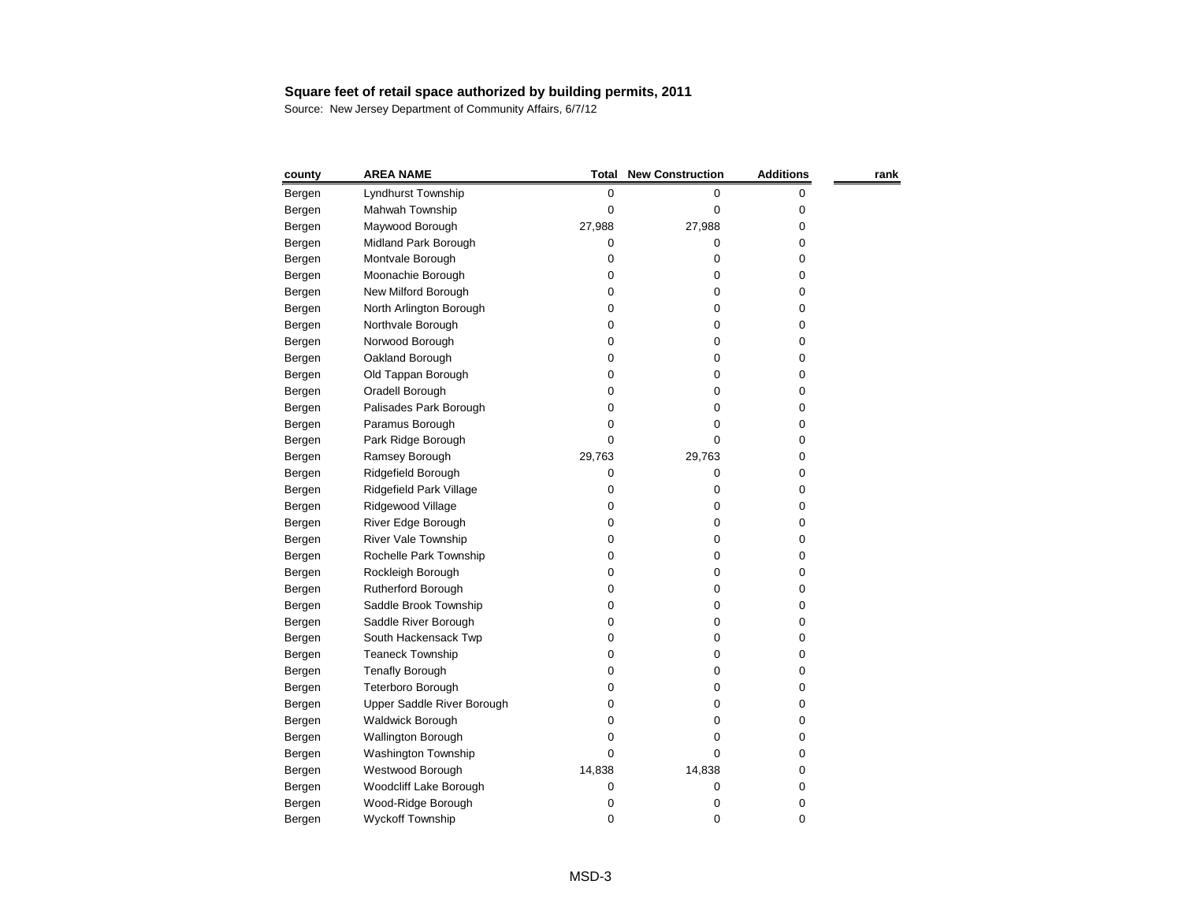| county | <b>AREA NAME</b>           | <b>Total</b> | <b>New Construction</b> | <b>Additions</b> | rank |
|--------|----------------------------|--------------|-------------------------|------------------|------|
| Bergen | Lyndhurst Township         | 0            | 0                       | 0                |      |
| Bergen | Mahwah Township            | 0            | 0                       | 0                |      |
| Bergen | Maywood Borough            | 27,988       | 27,988                  | 0                |      |
| Bergen | Midland Park Borough       | 0            | 0                       | 0                |      |
| Bergen | Montvale Borough           | 0            | 0                       | 0                |      |
| Bergen | Moonachie Borough          | 0            | 0                       | 0                |      |
| Bergen | New Milford Borough        | 0            | 0                       | 0                |      |
| Bergen | North Arlington Borough    | 0            | 0                       | 0                |      |
| Bergen | Northvale Borough          | 0            | 0                       | 0                |      |
| Bergen | Norwood Borough            | 0            | 0                       | 0                |      |
| Bergen | Oakland Borough            | 0            | 0                       | 0                |      |
| Bergen | Old Tappan Borough         | 0            | 0                       | 0                |      |
| Bergen | Oradell Borough            | 0            | 0                       | 0                |      |
| Bergen | Palisades Park Borough     | 0            | 0                       | 0                |      |
| Bergen | Paramus Borough            | 0            | 0                       | 0                |      |
| Bergen | Park Ridge Borough         | 0            | 0                       | 0                |      |
| Bergen | Ramsey Borough             | 29,763       | 29,763                  | 0                |      |
| Bergen | Ridgefield Borough         | 0            | 0                       | 0                |      |
| Bergen | Ridgefield Park Village    | 0            | 0                       | 0                |      |
| Bergen | Ridgewood Village          | 0            | 0                       | 0                |      |
| Bergen | River Edge Borough         | 0            | 0                       | 0                |      |
| Bergen | River Vale Township        | 0            | 0                       | 0                |      |
| Bergen | Rochelle Park Township     | 0            | 0                       | 0                |      |
| Bergen | Rockleigh Borough          | 0            | 0                       | 0                |      |
| Bergen | Rutherford Borough         | 0            | 0                       | 0                |      |
| Bergen | Saddle Brook Township      | 0            | 0                       | 0                |      |
| Bergen | Saddle River Borough       | 0            | 0                       | 0                |      |
| Bergen | South Hackensack Twp       | 0            | 0                       | 0                |      |
| Bergen | <b>Teaneck Township</b>    | 0            | 0                       | 0                |      |
| Bergen | <b>Tenafly Borough</b>     | 0            | 0                       | 0                |      |
| Bergen | Teterboro Borough          | 0            | 0                       | 0                |      |
| Bergen | Upper Saddle River Borough | 0            | 0                       | 0                |      |
| Bergen | <b>Waldwick Borough</b>    | 0            | 0                       | 0                |      |
| Bergen | <b>Wallington Borough</b>  | 0            | 0                       | 0                |      |
| Bergen | Washington Township        | 0            | 0                       | 0                |      |
| Bergen | Westwood Borough           | 14,838       | 14,838                  | 0                |      |
| Bergen | Woodcliff Lake Borough     | 0            | 0                       | 0                |      |
| Bergen | Wood-Ridge Borough         | 0            | 0                       | 0                |      |
| Bergen | <b>Wyckoff Township</b>    | 0            | 0                       | 0                |      |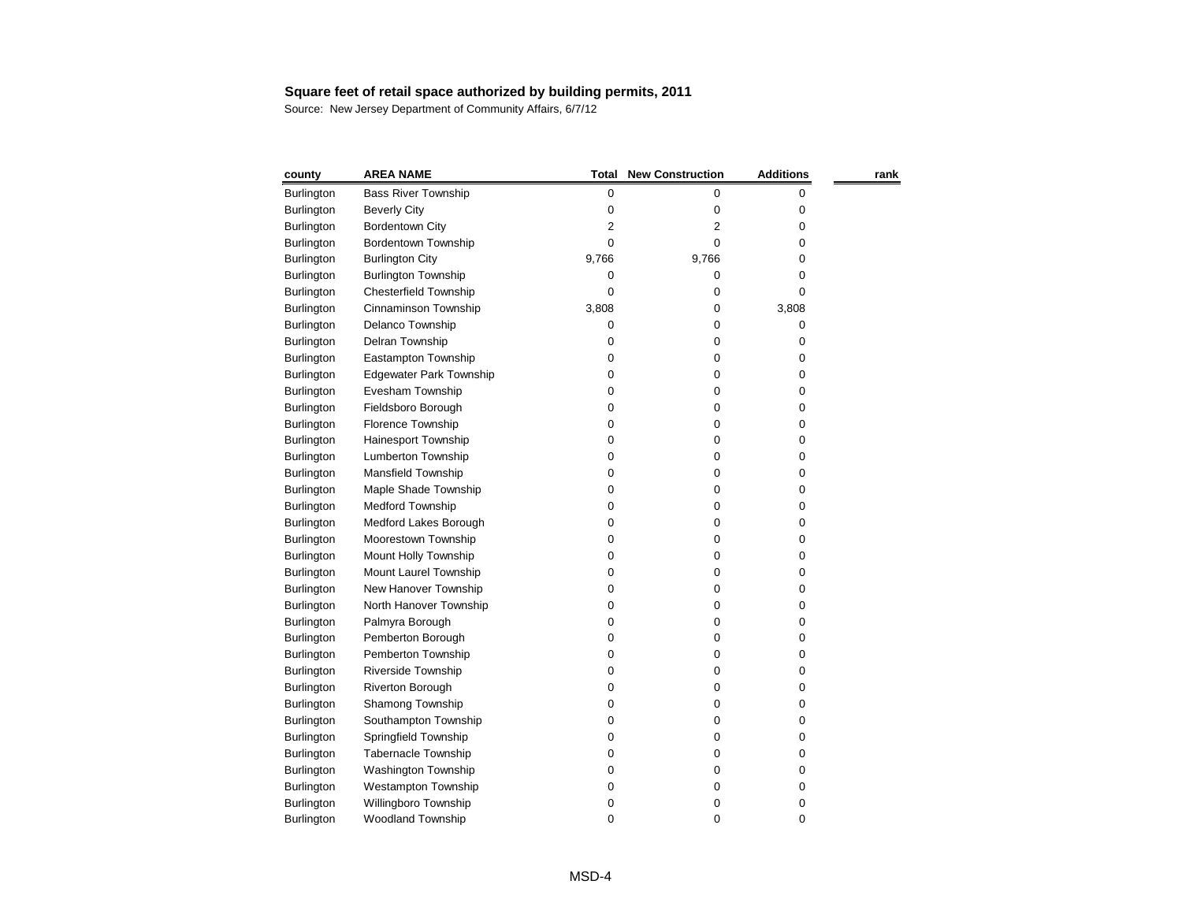| county            | <b>AREA NAME</b>               | Total     | <b>New Construction</b> | <b>Additions</b> | rank |
|-------------------|--------------------------------|-----------|-------------------------|------------------|------|
| Burlington        | <b>Bass River Township</b>     | $\pmb{0}$ | 0                       | 0                |      |
| <b>Burlington</b> | <b>Beverly City</b>            | 0         | 0                       | 0                |      |
| <b>Burlington</b> | <b>Bordentown City</b>         | 2         | 2                       | 0                |      |
| <b>Burlington</b> | Bordentown Township            | 0         | 0                       | 0                |      |
| <b>Burlington</b> | <b>Burlington City</b>         | 9,766     | 9,766                   | 0                |      |
| Burlington        | <b>Burlington Township</b>     | 0         | 0                       | 0                |      |
| Burlington        | <b>Chesterfield Township</b>   | 0         | 0                       | 0                |      |
| <b>Burlington</b> | Cinnaminson Township           | 3,808     | 0                       | 3,808            |      |
| <b>Burlington</b> | Delanco Township               | 0         | 0                       | 0                |      |
| <b>Burlington</b> | Delran Township                | 0         | 0                       | 0                |      |
| Burlington        | Eastampton Township            | 0         | 0                       | 0                |      |
| Burlington        | <b>Edgewater Park Township</b> | 0         | 0                       | 0                |      |
| <b>Burlington</b> | Evesham Township               | 0         | 0                       | 0                |      |
| Burlington        | Fieldsboro Borough             | 0         | 0                       | 0                |      |
| Burlington        | Florence Township              | 0         | 0                       | 0                |      |
| <b>Burlington</b> | Hainesport Township            | 0         | 0                       | 0                |      |
| Burlington        | Lumberton Township             | 0         | 0                       | 0                |      |
| Burlington        | Mansfield Township             | 0         | 0                       | 0                |      |
| Burlington        | Maple Shade Township           | 0         | 0                       | 0                |      |
| <b>Burlington</b> | Medford Township               | 0         | 0                       | 0                |      |
| Burlington        | Medford Lakes Borough          | 0         | 0                       | 0                |      |
| <b>Burlington</b> | Moorestown Township            | 0         | 0                       | 0                |      |
| Burlington        | Mount Holly Township           | 0         | 0                       | 0                |      |
| Burlington        | Mount Laurel Township          | 0         | 0                       | 0                |      |
| Burlington        | New Hanover Township           | 0         | 0                       | 0                |      |
| Burlington        | North Hanover Township         | 0         | 0                       | 0                |      |
| <b>Burlington</b> | Palmyra Borough                | 0         | 0                       | 0                |      |
| Burlington        | Pemberton Borough              | 0         | 0                       | 0                |      |
| <b>Burlington</b> | Pemberton Township             | 0         | 0                       | 0                |      |
| <b>Burlington</b> | <b>Riverside Township</b>      | 0         | 0                       | 0                |      |
| <b>Burlington</b> | <b>Riverton Borough</b>        | 0         | 0                       | 0                |      |
| Burlington        | Shamong Township               | 0         | 0                       | 0                |      |
| <b>Burlington</b> | Southampton Township           | 0         | 0                       | 0                |      |
| <b>Burlington</b> | Springfield Township           | 0         | 0                       | 0                |      |
| <b>Burlington</b> | Tabernacle Township            | 0         | 0                       | 0                |      |
| <b>Burlington</b> | Washington Township            | 0         | 0                       | 0                |      |
| Burlington        | <b>Westampton Township</b>     | 0         | 0                       | 0                |      |
| Burlington        | Willingboro Township           | 0         | 0                       | 0                |      |
| Burlington        | Woodland Township              | 0         | 0                       | 0                |      |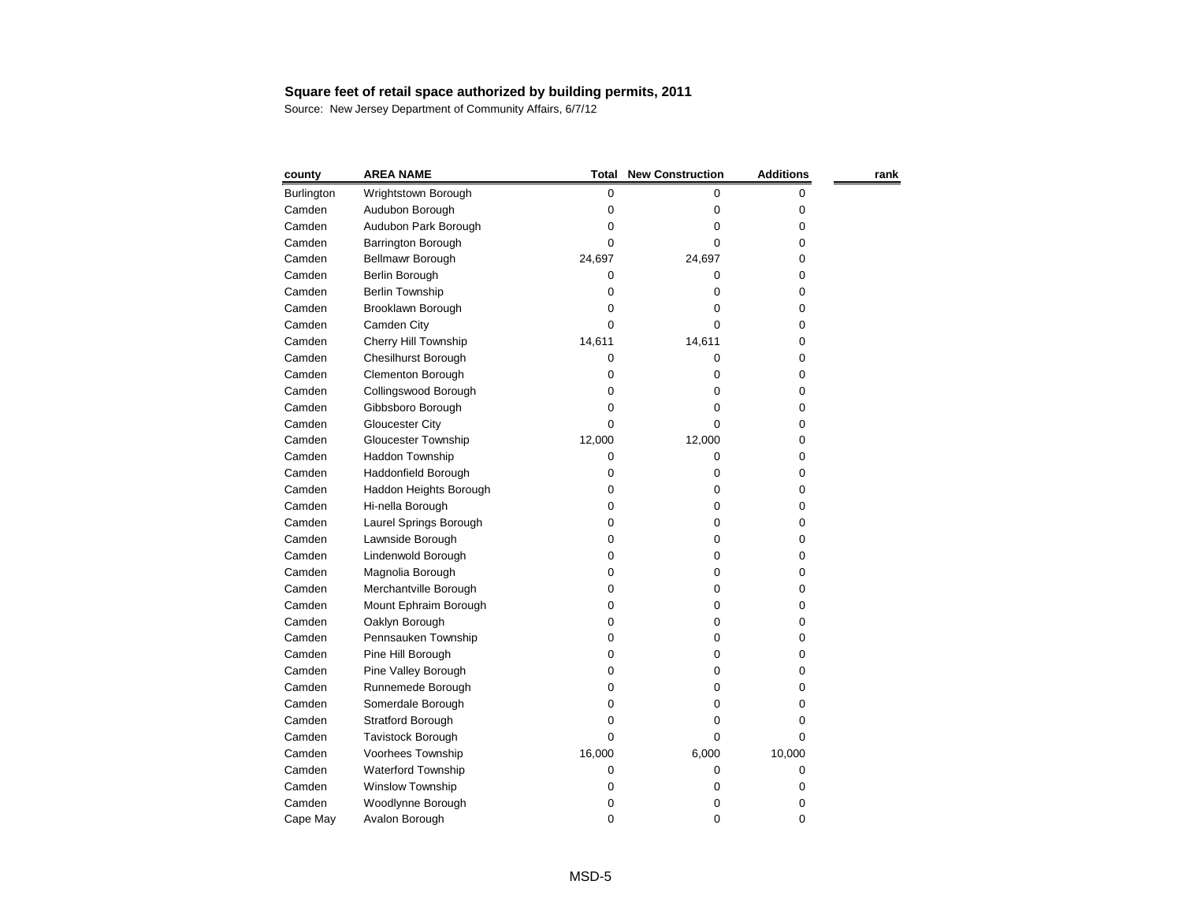| county     | <b>AREA NAME</b>           | <b>Total</b> | <b>New Construction</b> | <b>Additions</b> | rank |
|------------|----------------------------|--------------|-------------------------|------------------|------|
| Burlington | Wrightstown Borough        | $\pmb{0}$    | 0                       | 0                |      |
| Camden     | Audubon Borough            | 0            | 0                       | 0                |      |
| Camden     | Audubon Park Borough       | 0            | 0                       | 0                |      |
| Camden     | Barrington Borough         | 0            | 0                       | 0                |      |
| Camden     | Bellmawr Borough           | 24,697       | 24,697                  | 0                |      |
| Camden     | Berlin Borough             | 0            | 0                       | 0                |      |
| Camden     | <b>Berlin Township</b>     | 0            | 0                       | 0                |      |
| Camden     | Brooklawn Borough          | 0            | 0                       | 0                |      |
| Camden     | Camden City                | 0            | 0                       | 0                |      |
| Camden     | Cherry Hill Township       | 14,611       | 14,611                  | 0                |      |
| Camden     | Chesilhurst Borough        | 0            | 0                       | 0                |      |
| Camden     | Clementon Borough          | 0            | 0                       | 0                |      |
| Camden     | Collingswood Borough       | 0            | 0                       | 0                |      |
| Camden     | Gibbsboro Borough          | 0            | 0                       | 0                |      |
| Camden     | <b>Gloucester City</b>     | 0            | 0                       | 0                |      |
| Camden     | <b>Gloucester Township</b> | 12,000       | 12,000                  | 0                |      |
| Camden     | Haddon Township            | 0            | 0                       | 0                |      |
| Camden     | Haddonfield Borough        | 0            | 0                       | 0                |      |
| Camden     | Haddon Heights Borough     | 0            | 0                       | 0                |      |
| Camden     | Hi-nella Borough           | 0            | 0                       | 0                |      |
| Camden     | Laurel Springs Borough     | 0            | 0                       | 0                |      |
| Camden     | Lawnside Borough           | 0            | 0                       | 0                |      |
| Camden     | Lindenwold Borough         | 0            | 0                       | 0                |      |
| Camden     | Magnolia Borough           | 0            | 0                       | 0                |      |
| Camden     | Merchantville Borough      | 0            | 0                       | 0                |      |
| Camden     | Mount Ephraim Borough      | 0            | 0                       | 0                |      |
| Camden     | Oaklyn Borough             | 0            | 0                       | 0                |      |
| Camden     | Pennsauken Township        | 0            | 0                       | 0                |      |
| Camden     | Pine Hill Borough          | 0            | 0                       | 0                |      |
| Camden     | Pine Valley Borough        | 0            | 0                       | 0                |      |
| Camden     | Runnemede Borough          | 0            | 0                       | 0                |      |
| Camden     | Somerdale Borough          | 0            | 0                       | 0                |      |
| Camden     | Stratford Borough          | 0            | 0                       | 0                |      |
| Camden     | Tavistock Borough          | 0            | 0                       | 0                |      |
| Camden     | Voorhees Township          | 16,000       | 6,000                   | 10,000           |      |
| Camden     | Waterford Township         | 0            | 0                       | 0                |      |
| Camden     | Winslow Township           | 0            | 0                       | 0                |      |
| Camden     | Woodlynne Borough          | 0            | 0                       | 0                |      |
| Cape May   | Avalon Borough             | $\pmb{0}$    | 0                       | 0                |      |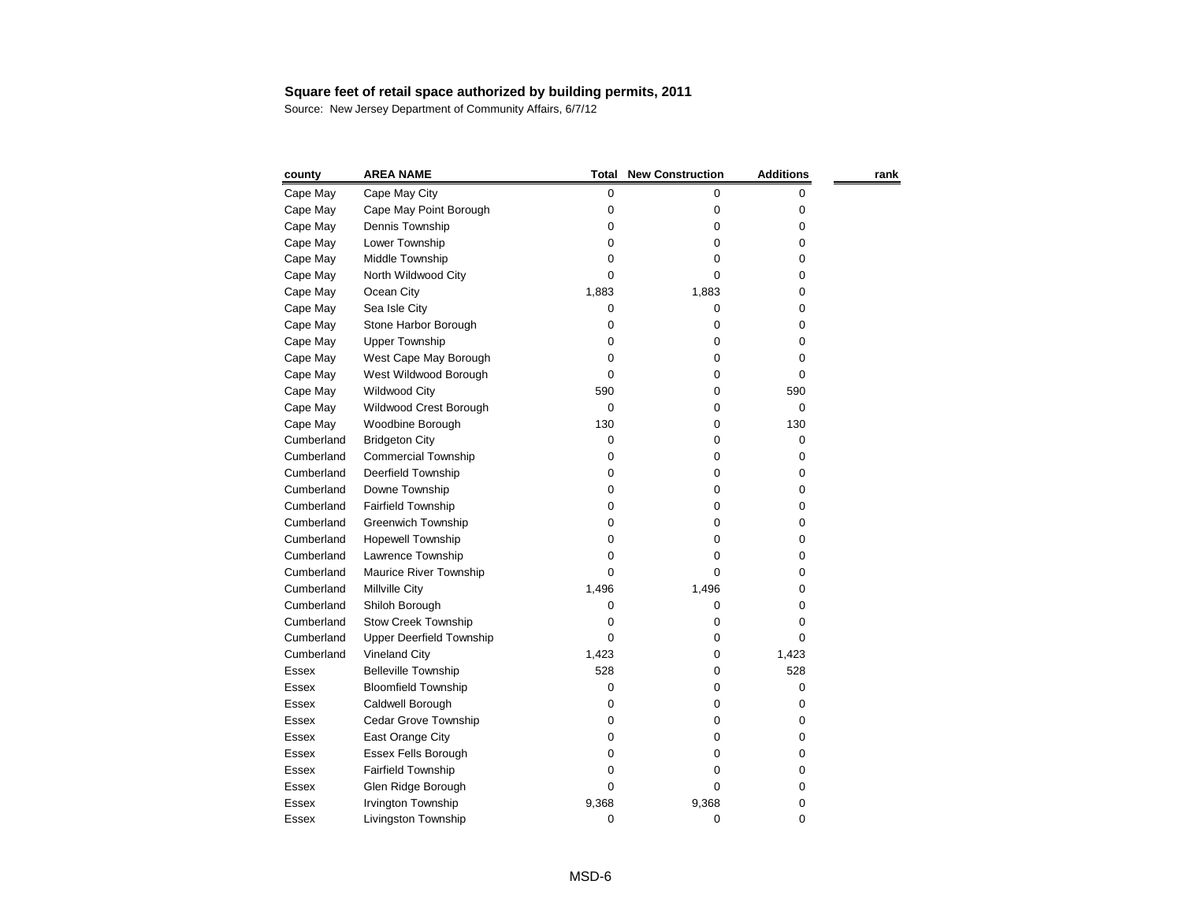| county       | <b>AREA NAME</b>                | <b>Total</b> | <b>New Construction</b> | <b>Additions</b> | rank |
|--------------|---------------------------------|--------------|-------------------------|------------------|------|
| Cape May     | Cape May City                   | 0            | 0                       | 0                |      |
| Cape May     | Cape May Point Borough          | 0            | 0                       | 0                |      |
| Cape May     | Dennis Township                 | 0            | 0                       | 0                |      |
| Cape May     | Lower Township                  | 0            | 0                       | 0                |      |
| Cape May     | Middle Township                 | 0            | 0                       | 0                |      |
| Cape May     | North Wildwood City             | 0            | 0                       | 0                |      |
| Cape May     | Ocean City                      | 1,883        | 1,883                   | 0                |      |
| Cape May     | Sea Isle City                   | 0            | 0                       | 0                |      |
| Cape May     | Stone Harbor Borough            | 0            | 0                       | 0                |      |
| Cape May     | <b>Upper Township</b>           | 0            | 0                       | 0                |      |
| Cape May     | West Cape May Borough           | 0            | 0                       | 0                |      |
| Cape May     | West Wildwood Borough           | 0            | 0                       | 0                |      |
| Cape May     | <b>Wildwood City</b>            | 590          | 0                       | 590              |      |
| Cape May     | Wildwood Crest Borough          | 0            | 0                       | 0                |      |
| Cape May     | Woodbine Borough                | 130          | 0                       | 130              |      |
| Cumberland   | <b>Bridgeton City</b>           | 0            | 0                       | 0                |      |
| Cumberland   | <b>Commercial Township</b>      | 0            | 0                       | 0                |      |
| Cumberland   | Deerfield Township              | 0            | 0                       | 0                |      |
| Cumberland   | Downe Township                  | 0            | 0                       | 0                |      |
| Cumberland   | Fairfield Township              | 0            | 0                       | 0                |      |
| Cumberland   | <b>Greenwich Township</b>       | 0            | 0                       | 0                |      |
| Cumberland   | <b>Hopewell Township</b>        | 0            | 0                       | 0                |      |
| Cumberland   | Lawrence Township               | 0            | 0                       | 0                |      |
| Cumberland   | Maurice River Township          | 0            | 0                       | 0                |      |
| Cumberland   | Millville City                  | 1,496        | 1,496                   | 0                |      |
| Cumberland   | Shiloh Borough                  | 0            | 0                       | 0                |      |
| Cumberland   | <b>Stow Creek Township</b>      | 0            | 0                       | 0                |      |
| Cumberland   | <b>Upper Deerfield Township</b> | 0            | 0                       | 0                |      |
| Cumberland   | <b>Vineland City</b>            | 1,423        | 0                       | 1,423            |      |
| Essex        | <b>Belleville Township</b>      | 528          | 0                       | 528              |      |
| Essex        | <b>Bloomfield Township</b>      | 0            | 0                       | 0                |      |
| Essex        | Caldwell Borough                | 0            | 0                       | 0                |      |
| Essex        | Cedar Grove Township            | 0            | 0                       | 0                |      |
| <b>Essex</b> | East Orange City                | 0            | 0                       | 0                |      |
| Essex        | <b>Essex Fells Borough</b>      | 0            | 0                       | 0                |      |
| Essex        | Fairfield Township              | 0            | 0                       | 0                |      |
| Essex        | Glen Ridge Borough              | 0            | 0                       | 0                |      |
| Essex        | Irvington Township              | 9,368        | 9,368                   | 0                |      |
| Essex        | Livingston Township             | 0            | 0                       | 0                |      |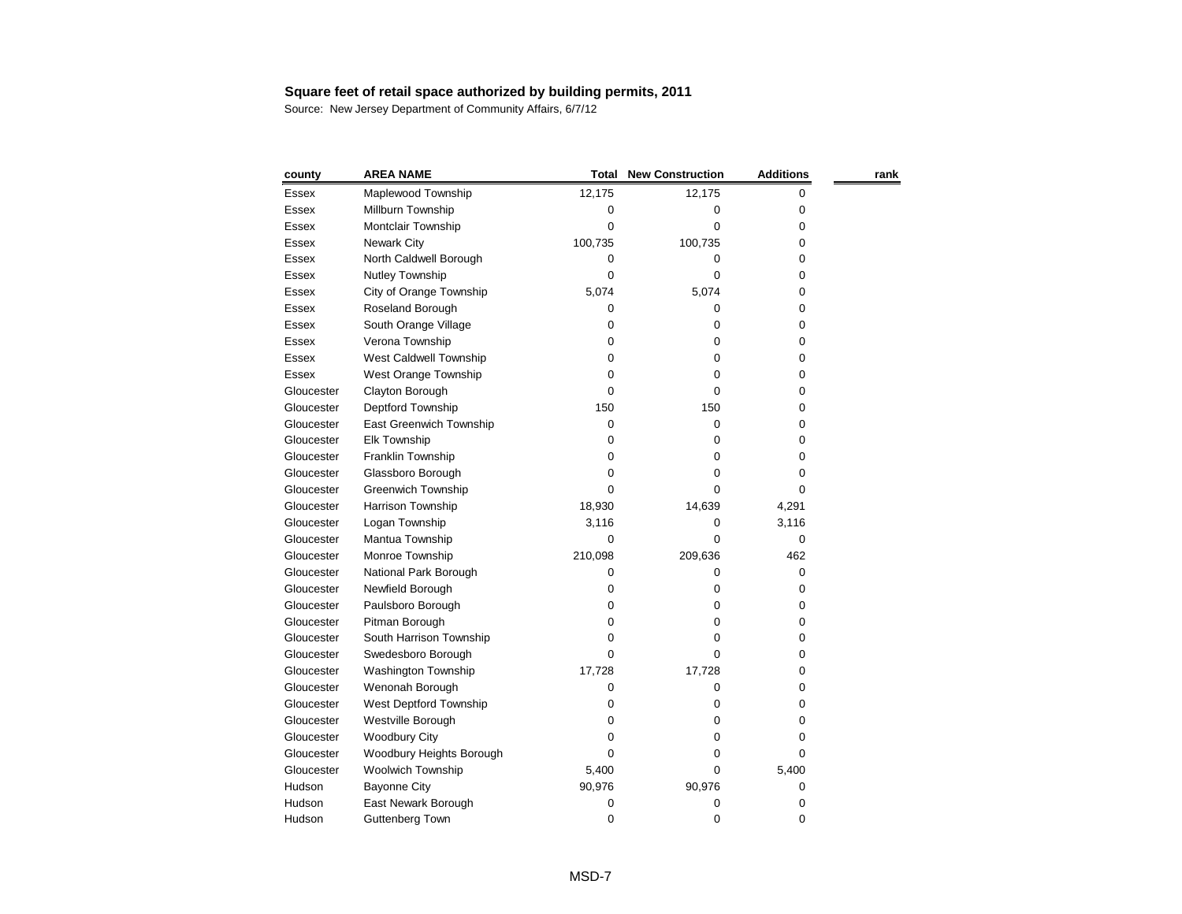| county       | <b>AREA NAME</b>           | <b>Total</b> | <b>New Construction</b> | <b>Additions</b> | rank |
|--------------|----------------------------|--------------|-------------------------|------------------|------|
| <b>Essex</b> | Maplewood Township         | 12,175       | 12,175                  | 0                |      |
| Essex        | Millburn Township          | 0            | 0                       | 0                |      |
| Essex        | Montclair Township         | 0            | 0                       | 0                |      |
| Essex        | <b>Newark City</b>         | 100,735      | 100,735                 | 0                |      |
| Essex        | North Caldwell Borough     | 0            | 0                       | 0                |      |
| <b>Essex</b> | Nutley Township            | 0            | 0                       | 0                |      |
| Essex        | City of Orange Township    | 5,074        | 5,074                   | 0                |      |
| Essex        | Roseland Borough           | 0            | 0                       | 0                |      |
| <b>Essex</b> | South Orange Village       | 0            | 0                       | 0                |      |
| <b>Essex</b> | Verona Township            | 0            | 0                       | 0                |      |
| Essex        | West Caldwell Township     | 0            | 0                       | 0                |      |
| Essex        | West Orange Township       | 0            | 0                       | 0                |      |
| Gloucester   | Clayton Borough            | 0            | 0                       | 0                |      |
| Gloucester   | Deptford Township          | 150          | 150                     | 0                |      |
| Gloucester   | East Greenwich Township    | 0            | 0                       | 0                |      |
| Gloucester   | Elk Township               | 0            | 0                       | 0                |      |
| Gloucester   | Franklin Township          | 0            | 0                       | 0                |      |
| Gloucester   | Glassboro Borough          | 0            | 0                       | 0                |      |
| Gloucester   | <b>Greenwich Township</b>  | 0            | 0                       | 0                |      |
| Gloucester   | Harrison Township          | 18,930       | 14,639                  | 4,291            |      |
| Gloucester   | Logan Township             | 3,116        | 0                       | 3,116            |      |
| Gloucester   | Mantua Township            | 0            | 0                       | 0                |      |
| Gloucester   | Monroe Township            | 210,098      | 209,636                 | 462              |      |
| Gloucester   | National Park Borough      | 0            | 0                       | 0                |      |
| Gloucester   | Newfield Borough           | 0            | 0                       | 0                |      |
| Gloucester   | Paulsboro Borough          | 0            | 0                       | 0                |      |
| Gloucester   | Pitman Borough             | 0            | 0                       | 0                |      |
| Gloucester   | South Harrison Township    | 0            | 0                       | 0                |      |
| Gloucester   | Swedesboro Borough         | 0            | 0                       | 0                |      |
| Gloucester   | <b>Washington Township</b> | 17,728       | 17,728                  | 0                |      |
| Gloucester   | Wenonah Borough            | 0            | 0                       | 0                |      |
| Gloucester   | West Deptford Township     | 0            | 0                       | 0                |      |
| Gloucester   | Westville Borough          | O            | 0                       | 0                |      |
| Gloucester   | <b>Woodbury City</b>       | 0            | 0                       | 0                |      |
| Gloucester   | Woodbury Heights Borough   | O            | 0                       | 0                |      |
| Gloucester   | Woolwich Township          | 5,400        | 0                       | 5,400            |      |
| Hudson       | <b>Bayonne City</b>        | 90,976       | 90,976                  | 0                |      |
| Hudson       | East Newark Borough        | 0            | 0                       | 0                |      |
| Hudson       | <b>Guttenberg Town</b>     | 0            | 0                       | 0                |      |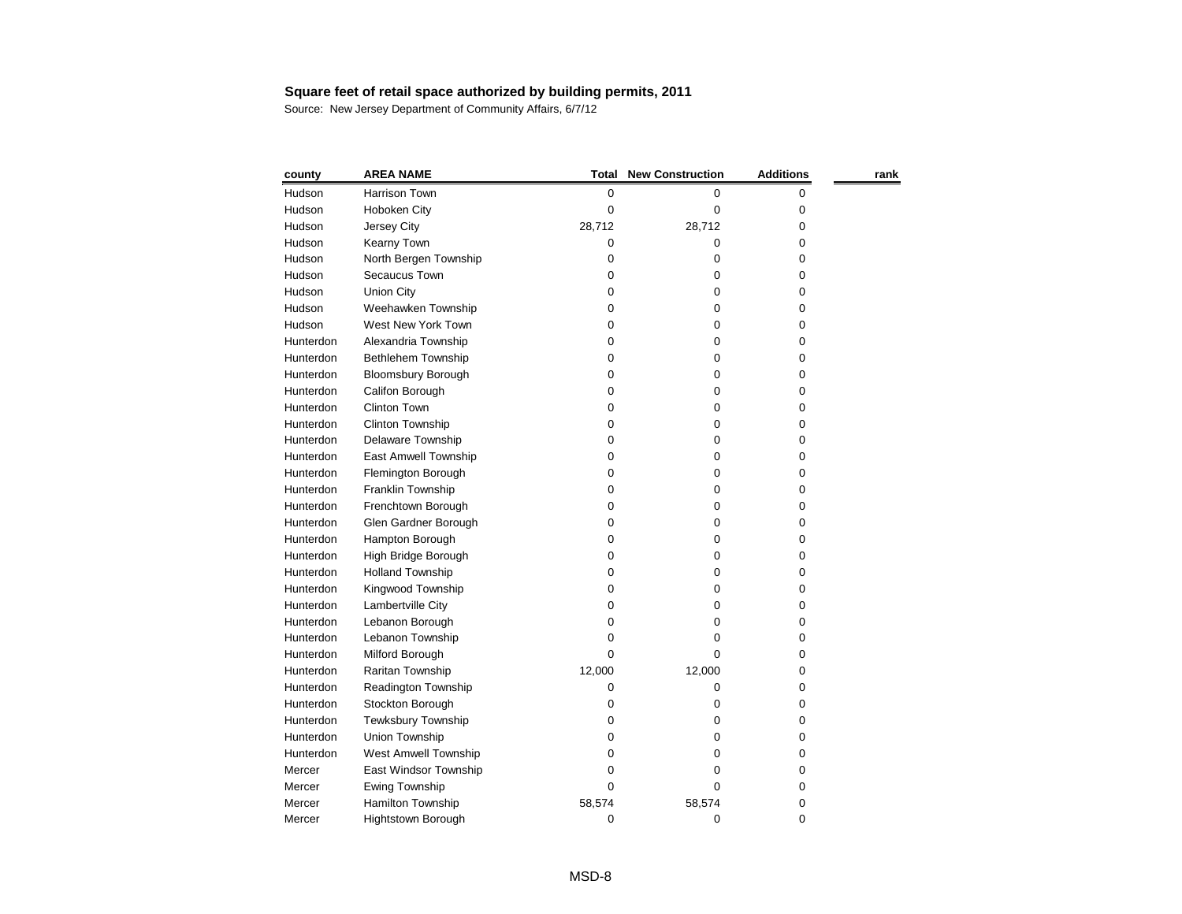| county    | <b>AREA NAME</b>          | <b>Total</b> | <b>New Construction</b> | <b>Additions</b> | rank |
|-----------|---------------------------|--------------|-------------------------|------------------|------|
| Hudson    | Harrison Town             | 0            | 0                       | 0                |      |
| Hudson    | Hoboken City              | 0            | 0                       | 0                |      |
| Hudson    | Jersey City               | 28,712       | 28,712                  | 0                |      |
| Hudson    | Kearny Town               | 0            | 0                       | 0                |      |
| Hudson    | North Bergen Township     | 0            | 0                       | 0                |      |
| Hudson    | Secaucus Town             | 0            | 0                       | 0                |      |
| Hudson    | <b>Union City</b>         | 0            | 0                       | 0                |      |
| Hudson    | Weehawken Township        | 0            | 0                       | 0                |      |
| Hudson    | West New York Town        | 0            | 0                       | 0                |      |
| Hunterdon | Alexandria Township       | 0            | 0                       | 0                |      |
| Hunterdon | Bethlehem Township        | 0            | 0                       | 0                |      |
| Hunterdon | <b>Bloomsbury Borough</b> | 0            | 0                       | 0                |      |
| Hunterdon | Califon Borough           | 0            | 0                       | 0                |      |
| Hunterdon | <b>Clinton Town</b>       | 0            | 0                       | 0                |      |
| Hunterdon | Clinton Township          | 0            | 0                       | 0                |      |
| Hunterdon | Delaware Township         | 0            | 0                       | 0                |      |
| Hunterdon | East Amwell Township      | 0            | 0                       | 0                |      |
| Hunterdon | Flemington Borough        | 0            | 0                       | 0                |      |
| Hunterdon | Franklin Township         | 0            | 0                       | 0                |      |
| Hunterdon | Frenchtown Borough        | 0            | 0                       | 0                |      |
| Hunterdon | Glen Gardner Borough      | 0            | 0                       | 0                |      |
| Hunterdon | Hampton Borough           | 0            | 0                       | 0                |      |
| Hunterdon | High Bridge Borough       | 0            | 0                       | 0                |      |
| Hunterdon | <b>Holland Township</b>   | 0            | 0                       | 0                |      |
| Hunterdon | Kingwood Township         | 0            | 0                       | 0                |      |
| Hunterdon | Lambertville City         | 0            | 0                       | 0                |      |
| Hunterdon | Lebanon Borough           | 0            | 0                       | 0                |      |
| Hunterdon | Lebanon Township          | 0            | Ω                       | 0                |      |
| Hunterdon | Milford Borough           | 0            | 0                       | 0                |      |
| Hunterdon | Raritan Township          | 12,000       | 12,000                  | 0                |      |
| Hunterdon | Readington Township       | 0            | 0                       | 0                |      |
| Hunterdon | Stockton Borough          | 0            | 0                       | 0                |      |
| Hunterdon | <b>Tewksbury Township</b> | 0            | 0                       | 0                |      |
| Hunterdon | Union Township            | 0            | 0                       | 0                |      |
| Hunterdon | West Amwell Township      | 0            | 0                       | 0                |      |
| Mercer    | East Windsor Township     | 0            | 0                       | 0                |      |
| Mercer    | Ewing Township            | 0            | 0                       | 0                |      |
| Mercer    | Hamilton Township         | 58,574       | 58,574                  | 0                |      |
| Mercer    | Hightstown Borough        | 0            | $\boldsymbol{0}$        | 0                |      |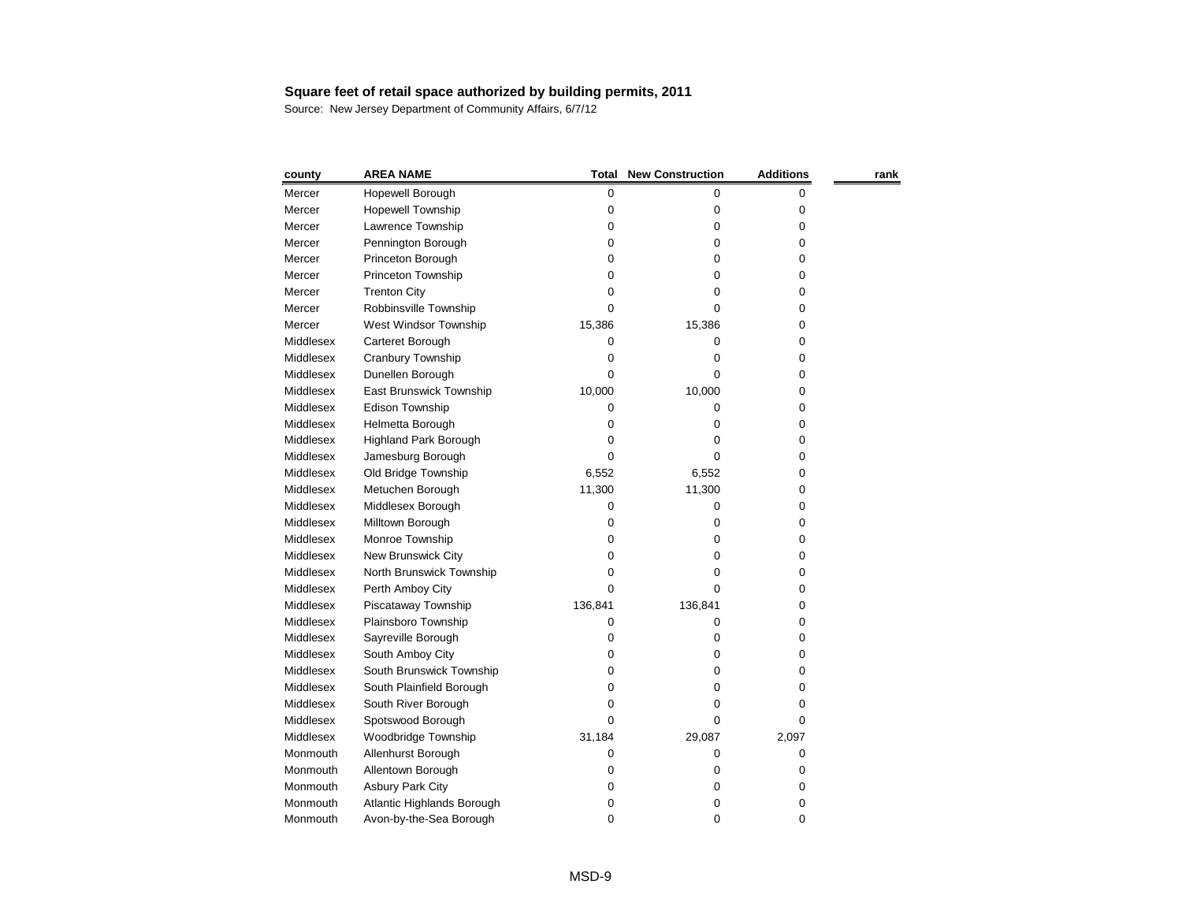| county    | <b>AREA NAME</b>             | <b>Total</b> | <b>New Construction</b> | <b>Additions</b> | rank |
|-----------|------------------------------|--------------|-------------------------|------------------|------|
| Mercer    | Hopewell Borough             | 0            | 0                       | 0                |      |
| Mercer    | <b>Hopewell Township</b>     | 0            | 0                       | 0                |      |
| Mercer    | Lawrence Township            | 0            | 0                       | 0                |      |
| Mercer    | Pennington Borough           | 0            | 0                       | 0                |      |
| Mercer    | Princeton Borough            | 0            | 0                       | 0                |      |
| Mercer    | Princeton Township           | 0            | 0                       | 0                |      |
| Mercer    | <b>Trenton City</b>          | 0            | 0                       | 0                |      |
| Mercer    | Robbinsville Township        | 0            | 0                       | 0                |      |
| Mercer    | West Windsor Township        | 15,386       | 15,386                  | 0                |      |
| Middlesex | Carteret Borough             | 0            | 0                       | 0                |      |
| Middlesex | Cranbury Township            | 0            | 0                       | 0                |      |
| Middlesex | Dunellen Borough             | 0            | 0                       | 0                |      |
| Middlesex | East Brunswick Township      | 10,000       | 10,000                  | 0                |      |
| Middlesex | Edison Township              | 0            | 0                       | 0                |      |
| Middlesex | Helmetta Borough             | 0            | 0                       | 0                |      |
| Middlesex | <b>Highland Park Borough</b> | 0            | 0                       | 0                |      |
| Middlesex | Jamesburg Borough            | 0            | 0                       | 0                |      |
| Middlesex | Old Bridge Township          | 6,552        | 6,552                   | 0                |      |
| Middlesex | Metuchen Borough             | 11,300       | 11,300                  | 0                |      |
| Middlesex | Middlesex Borough            | 0            | 0                       | 0                |      |
| Middlesex | Milltown Borough             | 0            | 0                       | 0                |      |
| Middlesex | Monroe Township              | 0            | 0                       | 0                |      |
| Middlesex | New Brunswick City           | 0            | 0                       | 0                |      |
| Middlesex | North Brunswick Township     | 0            | 0                       | 0                |      |
| Middlesex | Perth Amboy City             | 0            | 0                       | 0                |      |
| Middlesex | Piscataway Township          | 136,841      | 136,841                 | 0                |      |
| Middlesex | Plainsboro Township          | 0            | 0                       | 0                |      |
| Middlesex | Sayreville Borough           | 0            | 0                       | 0                |      |
| Middlesex | South Amboy City             | 0            | 0                       | 0                |      |
| Middlesex | South Brunswick Township     | 0            | 0                       | 0                |      |
| Middlesex | South Plainfield Borough     | 0            | 0                       | 0                |      |
| Middlesex | South River Borough          | 0            | 0                       | 0                |      |
| Middlesex | Spotswood Borough            | 0            | 0                       | 0                |      |
| Middlesex | Woodbridge Township          | 31,184       | 29,087                  | 2,097            |      |
| Monmouth  | Allenhurst Borough           | 0            | 0                       | 0                |      |
| Monmouth  | Allentown Borough            | 0            | 0                       | 0                |      |
| Monmouth  | <b>Asbury Park City</b>      | 0            | 0                       | 0                |      |
| Monmouth  | Atlantic Highlands Borough   | 0            | 0                       | 0                |      |
| Monmouth  | Avon-by-the-Sea Borough      | 0            | 0                       | 0                |      |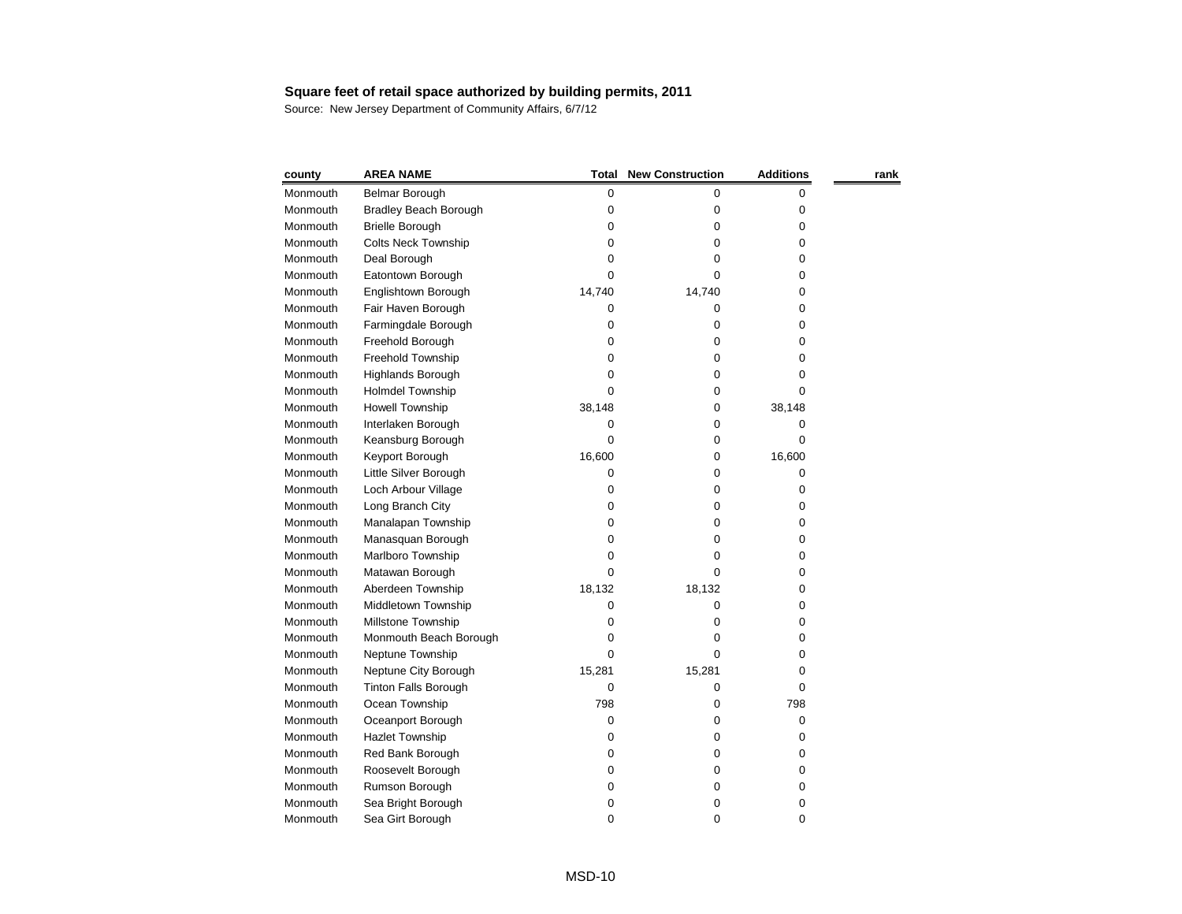| county   | <b>AREA NAME</b>             | Total  | <b>New Construction</b> | <b>Additions</b> | rank |
|----------|------------------------------|--------|-------------------------|------------------|------|
| Monmouth | Belmar Borough               | 0      | 0                       | 0                |      |
| Monmouth | <b>Bradley Beach Borough</b> | 0      | 0                       | 0                |      |
| Monmouth | <b>Brielle Borough</b>       | 0      | 0                       | 0                |      |
| Monmouth | <b>Colts Neck Township</b>   | 0      | 0                       | 0                |      |
| Monmouth | Deal Borough                 | 0      | 0                       | 0                |      |
| Monmouth | Eatontown Borough            | 0      | 0                       | 0                |      |
| Monmouth | Englishtown Borough          | 14,740 | 14,740                  | 0                |      |
| Monmouth | Fair Haven Borough           | 0      | 0                       | 0                |      |
| Monmouth | Farmingdale Borough          | 0      | 0                       | 0                |      |
| Monmouth | Freehold Borough             | 0      | 0                       | 0                |      |
| Monmouth | Freehold Township            | 0      | 0                       | 0                |      |
| Monmouth | Highlands Borough            | 0      | 0                       | 0                |      |
| Monmouth | <b>Holmdel Township</b>      | 0      | 0                       | 0                |      |
| Monmouth | <b>Howell Township</b>       | 38,148 | 0                       | 38,148           |      |
| Monmouth | Interlaken Borough           | 0      | 0                       | 0                |      |
| Monmouth | Keansburg Borough            | 0      | 0                       | 0                |      |
| Monmouth | Keyport Borough              | 16,600 | 0                       | 16,600           |      |
| Monmouth | Little Silver Borough        | 0      | 0                       | 0                |      |
| Monmouth | Loch Arbour Village          | 0      | 0                       | 0                |      |
| Monmouth | Long Branch City             | 0      | 0                       | 0                |      |
| Monmouth | Manalapan Township           | 0      | 0                       | 0                |      |
| Monmouth | Manasquan Borough            | 0      | 0                       | 0                |      |
| Monmouth | Marlboro Township            | 0      | 0                       | 0                |      |
| Monmouth | Matawan Borough              | 0      | 0                       | 0                |      |
| Monmouth | Aberdeen Township            | 18,132 | 18,132                  | 0                |      |
| Monmouth | Middletown Township          | 0      | 0                       | 0                |      |
| Monmouth | Millstone Township           | 0      | 0                       | 0                |      |
| Monmouth | Monmouth Beach Borough       | 0      | Ω                       | 0                |      |
| Monmouth | Neptune Township             | 0      | 0                       | 0                |      |
| Monmouth | Neptune City Borough         | 15,281 | 15,281                  | 0                |      |
| Monmouth | <b>Tinton Falls Borough</b>  | 0      | 0                       | 0                |      |
| Monmouth | Ocean Township               | 798    | 0                       | 798              |      |
| Monmouth | Oceanport Borough            | 0      | 0                       | 0                |      |
| Monmouth | <b>Hazlet Township</b>       | 0      | 0                       | 0                |      |
| Monmouth | Red Bank Borough             | 0      | 0                       | 0                |      |
| Monmouth | Roosevelt Borough            | 0      | Ω                       | 0                |      |
| Monmouth | Rumson Borough               | 0      | 0                       | 0                |      |
| Monmouth | Sea Bright Borough           | 0      | 0                       | 0                |      |
| Monmouth | Sea Girt Borough             | 0      | 0                       | 0                |      |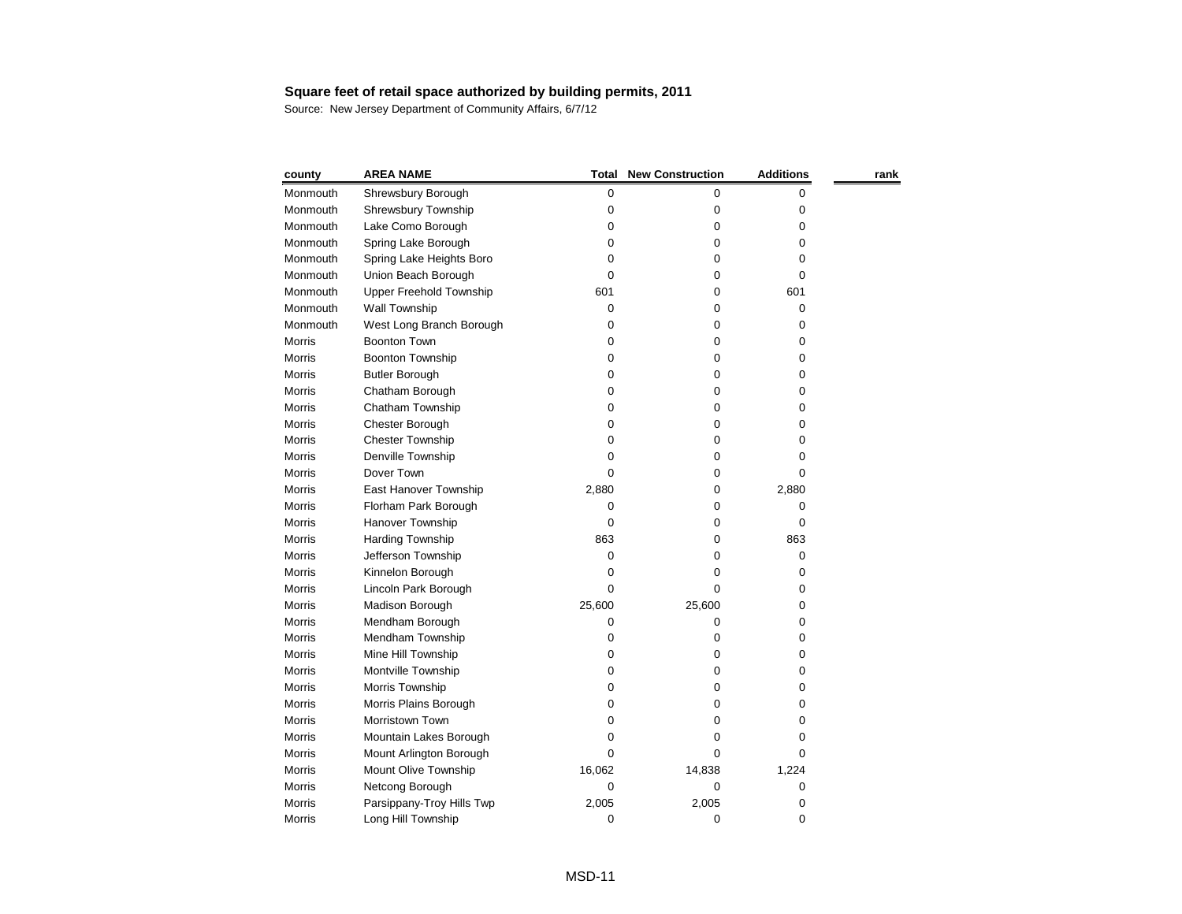| county        | <b>AREA NAME</b>               | <b>Total</b> | <b>New Construction</b> | <b>Additions</b> | rank |
|---------------|--------------------------------|--------------|-------------------------|------------------|------|
| Monmouth      | Shrewsbury Borough             | $\pmb{0}$    | 0                       | 0                |      |
| Monmouth      | Shrewsbury Township            | 0            | 0                       | 0                |      |
| Monmouth      | Lake Como Borough              | 0            | 0                       | 0                |      |
| Monmouth      | Spring Lake Borough            | 0            | 0                       | 0                |      |
| Monmouth      | Spring Lake Heights Boro       | 0            | 0                       | 0                |      |
| Monmouth      | Union Beach Borough            | 0            | 0                       | 0                |      |
| Monmouth      | <b>Upper Freehold Township</b> | 601          | 0                       | 601              |      |
| Monmouth      | Wall Township                  | 0            | 0                       | 0                |      |
| Monmouth      | West Long Branch Borough       | 0            | 0                       | 0                |      |
| <b>Morris</b> | <b>Boonton Town</b>            | 0            | 0                       | 0                |      |
| <b>Morris</b> | Boonton Township               | 0            | 0                       | 0                |      |
| <b>Morris</b> | <b>Butler Borough</b>          | 0            | 0                       | 0                |      |
| Morris        | Chatham Borough                | 0            | 0                       | 0                |      |
| <b>Morris</b> | Chatham Township               | 0            | 0                       | 0                |      |
| Morris        | Chester Borough                | 0            | 0                       | 0                |      |
| <b>Morris</b> | <b>Chester Township</b>        | 0            | 0                       | 0                |      |
| Morris        | Denville Township              | 0            | 0                       | 0                |      |
| <b>Morris</b> | Dover Town                     | 0            | 0                       | 0                |      |
| Morris        | East Hanover Township          | 2,880        | 0                       | 2,880            |      |
| Morris        | Florham Park Borough           | 0            | 0                       | 0                |      |
| <b>Morris</b> | Hanover Township               | 0            | 0                       | 0                |      |
| <b>Morris</b> | Harding Township               | 863          | 0                       | 863              |      |
| <b>Morris</b> | Jefferson Township             | 0            | 0                       | 0                |      |
| Morris        | Kinnelon Borough               | 0            | 0                       | 0                |      |
| Morris        | Lincoln Park Borough           | 0            | 0                       | 0                |      |
| <b>Morris</b> | Madison Borough                | 25,600       | 25,600                  | 0                |      |
| Morris        | Mendham Borough                | 0            | 0                       | 0                |      |
| Morris        | Mendham Township               | 0            | 0                       | 0                |      |
| Morris        | Mine Hill Township             | 0            | 0                       | 0                |      |
| Morris        | Montville Township             | 0            | 0                       | 0                |      |
| <b>Morris</b> | Morris Township                | 0            | 0                       | 0                |      |
| Morris        | Morris Plains Borough          | 0            | 0                       | 0                |      |
| Morris        | Morristown Town                | O            | 0                       | 0                |      |
| Morris        | Mountain Lakes Borough         | 0            | 0                       | 0                |      |
| Morris        | Mount Arlington Borough        | O            | O                       | 0                |      |
| Morris        | Mount Olive Township           | 16,062       | 14,838                  | 1,224            |      |
| Morris        | Netcong Borough                | 0            | 0                       | 0                |      |
| Morris        | Parsippany-Troy Hills Twp      | 2,005        | 2,005                   | 0                |      |
| Morris        | Long Hill Township             | 0            | 0                       | 0                |      |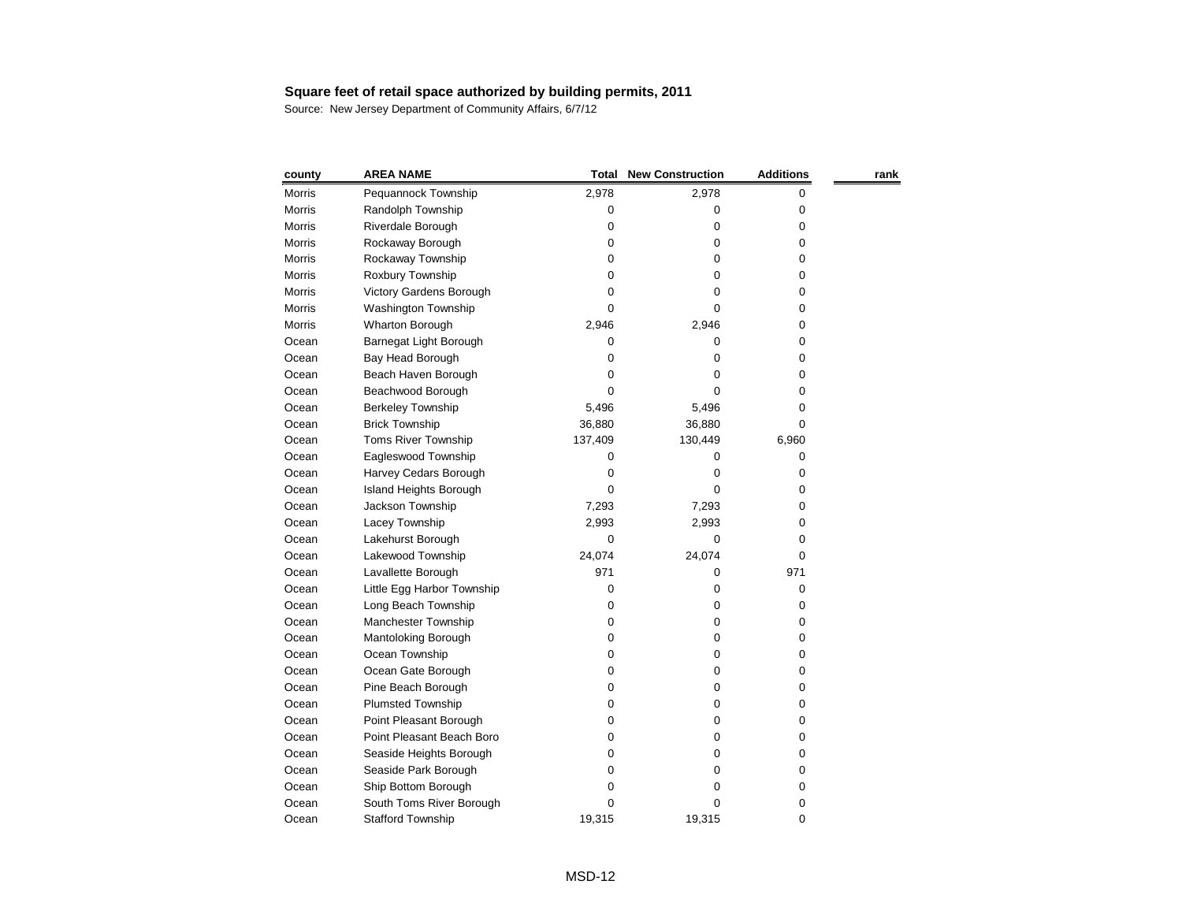| county        | <b>AREA NAME</b>              | Total   | <b>New Construction</b> | <b>Additions</b> | rank |
|---------------|-------------------------------|---------|-------------------------|------------------|------|
| Morris        | Pequannock Township           | 2,978   | 2,978                   | 0                |      |
| <b>Morris</b> | Randolph Township             | 0       | 0                       | 0                |      |
| <b>Morris</b> | Riverdale Borough             | 0       | 0                       | 0                |      |
| <b>Morris</b> | Rockaway Borough              | 0       | 0                       | 0                |      |
| <b>Morris</b> | Rockaway Township             | 0       | 0                       | 0                |      |
| <b>Morris</b> | Roxbury Township              | 0       | 0                       | 0                |      |
| <b>Morris</b> | Victory Gardens Borough       | 0       | 0                       | 0                |      |
| <b>Morris</b> | <b>Washington Township</b>    | 0       | 0                       | 0                |      |
| <b>Morris</b> | <b>Wharton Borough</b>        | 2,946   | 2,946                   | 0                |      |
| Ocean         | Barnegat Light Borough        | 0       | 0                       | 0                |      |
| Ocean         | Bay Head Borough              | 0       | 0                       | 0                |      |
| Ocean         | Beach Haven Borough           | 0       | 0                       | 0                |      |
| Ocean         | Beachwood Borough             | 0       | 0                       | 0                |      |
| Ocean         | <b>Berkeley Township</b>      | 5,496   | 5,496                   | 0                |      |
| Ocean         | <b>Brick Township</b>         | 36,880  | 36,880                  | 0                |      |
| Ocean         | Toms River Township           | 137,409 | 130,449                 | 6,960            |      |
| Ocean         | Eagleswood Township           | 0       | 0                       | 0                |      |
| Ocean         | Harvey Cedars Borough         | 0       | 0                       | 0                |      |
| Ocean         | <b>Island Heights Borough</b> | 0       | 0                       | 0                |      |
| Ocean         | Jackson Township              | 7,293   | 7,293                   | 0                |      |
| Ocean         | Lacey Township                | 2,993   | 2,993                   | 0                |      |
| Ocean         | Lakehurst Borough             | 0       | 0                       | 0                |      |
| Ocean         | Lakewood Township             | 24,074  | 24,074                  | 0                |      |
| Ocean         | Lavallette Borough            | 971     | 0                       | 971              |      |
| Ocean         | Little Egg Harbor Township    | 0       | 0                       | 0                |      |
| Ocean         | Long Beach Township           | 0       | 0                       | 0                |      |
| Ocean         | Manchester Township           | 0       | 0                       | 0                |      |
| Ocean         | Mantoloking Borough           | 0       | 0                       | 0                |      |
| Ocean         | Ocean Township                | 0       | 0                       | 0                |      |
| Ocean         | Ocean Gate Borough            | 0       | 0                       | 0                |      |
| Ocean         | Pine Beach Borough            | 0       | 0                       | 0                |      |
| Ocean         | <b>Plumsted Township</b>      | 0       | 0                       | 0                |      |
| Ocean         | Point Pleasant Borough        | 0       | 0                       | 0                |      |
| Ocean         | Point Pleasant Beach Boro     | 0       | 0                       | 0                |      |
| Ocean         | Seaside Heights Borough       | 0       | 0                       | 0                |      |
| Ocean         | Seaside Park Borough          | 0       | 0                       | 0                |      |
| Ocean         | Ship Bottom Borough           | 0       | 0                       | 0                |      |
| Ocean         | South Toms River Borough      | 0       | 0                       | 0                |      |
| Ocean         | <b>Stafford Township</b>      | 19,315  | 19,315                  | 0                |      |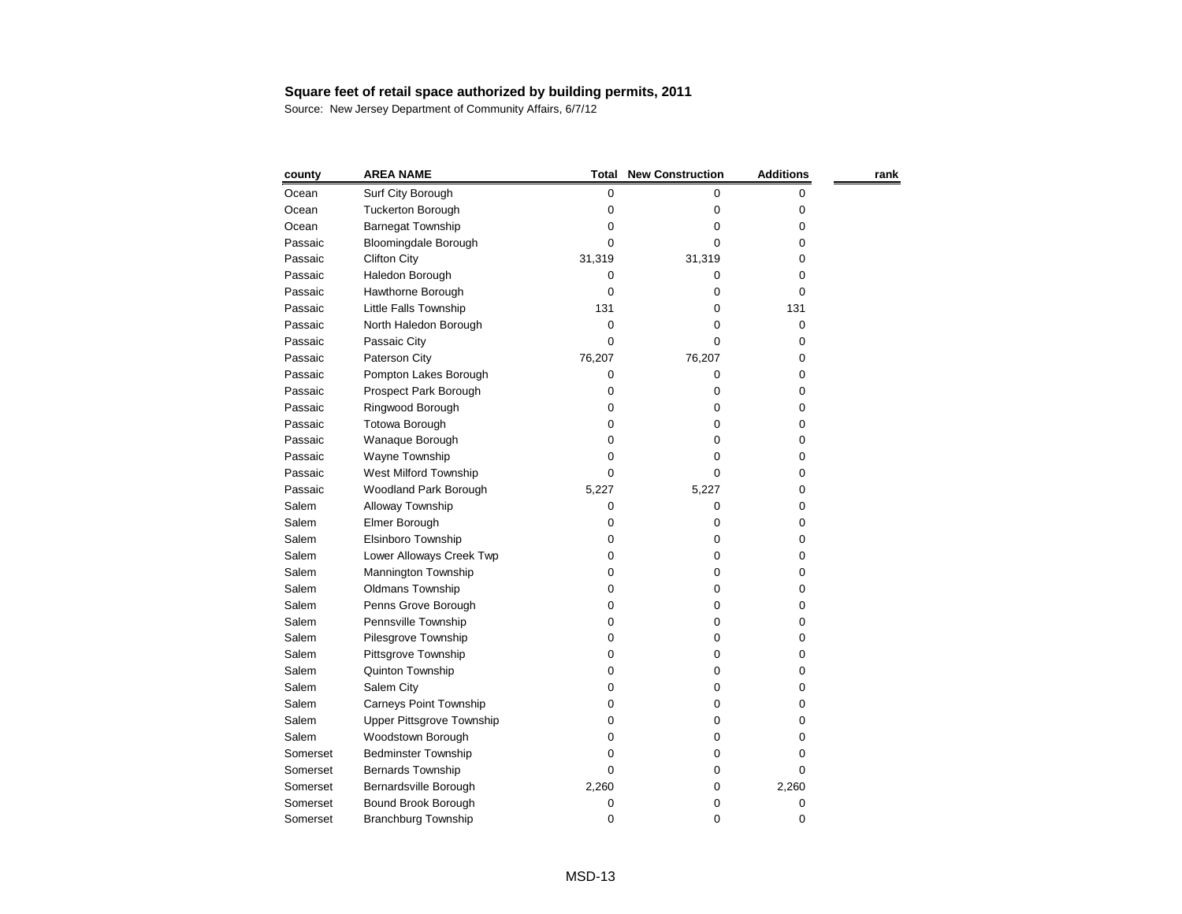| county   | <b>AREA NAME</b>                 | Total  | <b>New Construction</b> | <b>Additions</b> | rank |
|----------|----------------------------------|--------|-------------------------|------------------|------|
| Ocean    | Surf City Borough                | 0      | 0                       | 0                |      |
| Ocean    | <b>Tuckerton Borough</b>         | 0      | 0                       | 0                |      |
| Ocean    | <b>Barnegat Township</b>         | 0      | 0                       | 0                |      |
| Passaic  | <b>Bloomingdale Borough</b>      | 0      | 0                       | 0                |      |
| Passaic  | <b>Clifton City</b>              | 31,319 | 31,319                  | 0                |      |
| Passaic  | Haledon Borough                  | 0      | 0                       | 0                |      |
| Passaic  | Hawthorne Borough                | 0      | 0                       | 0                |      |
| Passaic  | Little Falls Township            | 131    | 0                       | 131              |      |
| Passaic  | North Haledon Borough            | 0      | 0                       | 0                |      |
| Passaic  | Passaic City                     | 0      | 0                       | 0                |      |
| Passaic  | Paterson City                    | 76,207 | 76,207                  | 0                |      |
| Passaic  | Pompton Lakes Borough            | 0      | 0                       | 0                |      |
| Passaic  | Prospect Park Borough            | 0      | 0                       | 0                |      |
| Passaic  | Ringwood Borough                 | 0      | 0                       | 0                |      |
| Passaic  | Totowa Borough                   | 0      | 0                       | 0                |      |
| Passaic  | Wanaque Borough                  | 0      | 0                       | 0                |      |
| Passaic  | Wayne Township                   | 0      | 0                       | 0                |      |
| Passaic  | West Milford Township            | 0      | 0                       | 0                |      |
| Passaic  | <b>Woodland Park Borough</b>     | 5,227  | 5,227                   | 0                |      |
| Salem    | Alloway Township                 | 0      | 0                       | 0                |      |
| Salem    | Elmer Borough                    | 0      | 0                       | 0                |      |
| Salem    | Elsinboro Township               | 0      | 0                       | 0                |      |
| Salem    | Lower Alloways Creek Twp         | 0      | 0                       | 0                |      |
| Salem    | Mannington Township              | 0      | 0                       | 0                |      |
| Salem    | Oldmans Township                 | 0      | 0                       | 0                |      |
| Salem    | Penns Grove Borough              | 0      | 0                       | 0                |      |
| Salem    | Pennsville Township              | 0      | 0                       | 0                |      |
| Salem    | Pilesgrove Township              | 0      | 0                       | 0                |      |
| Salem    | Pittsgrove Township              | 0      | 0                       | 0                |      |
| Salem    | Quinton Township                 | 0      | 0                       | 0                |      |
| Salem    | Salem City                       | 0      | 0                       | 0                |      |
| Salem    | <b>Carneys Point Township</b>    | 0      | 0                       | 0                |      |
| Salem    | <b>Upper Pittsgrove Township</b> | 0      | 0                       | 0                |      |
| Salem    | Woodstown Borough                | 0      | 0                       | 0                |      |
| Somerset | <b>Bedminster Township</b>       | O      | 0                       | 0                |      |
| Somerset | <b>Bernards Township</b>         | 0      | 0                       | 0                |      |
| Somerset | Bernardsville Borough            | 2,260  | 0                       | 2,260            |      |
| Somerset | Bound Brook Borough              | 0      | 0                       | 0                |      |
| Somerset | <b>Branchburg Township</b>       | 0      | 0                       | 0                |      |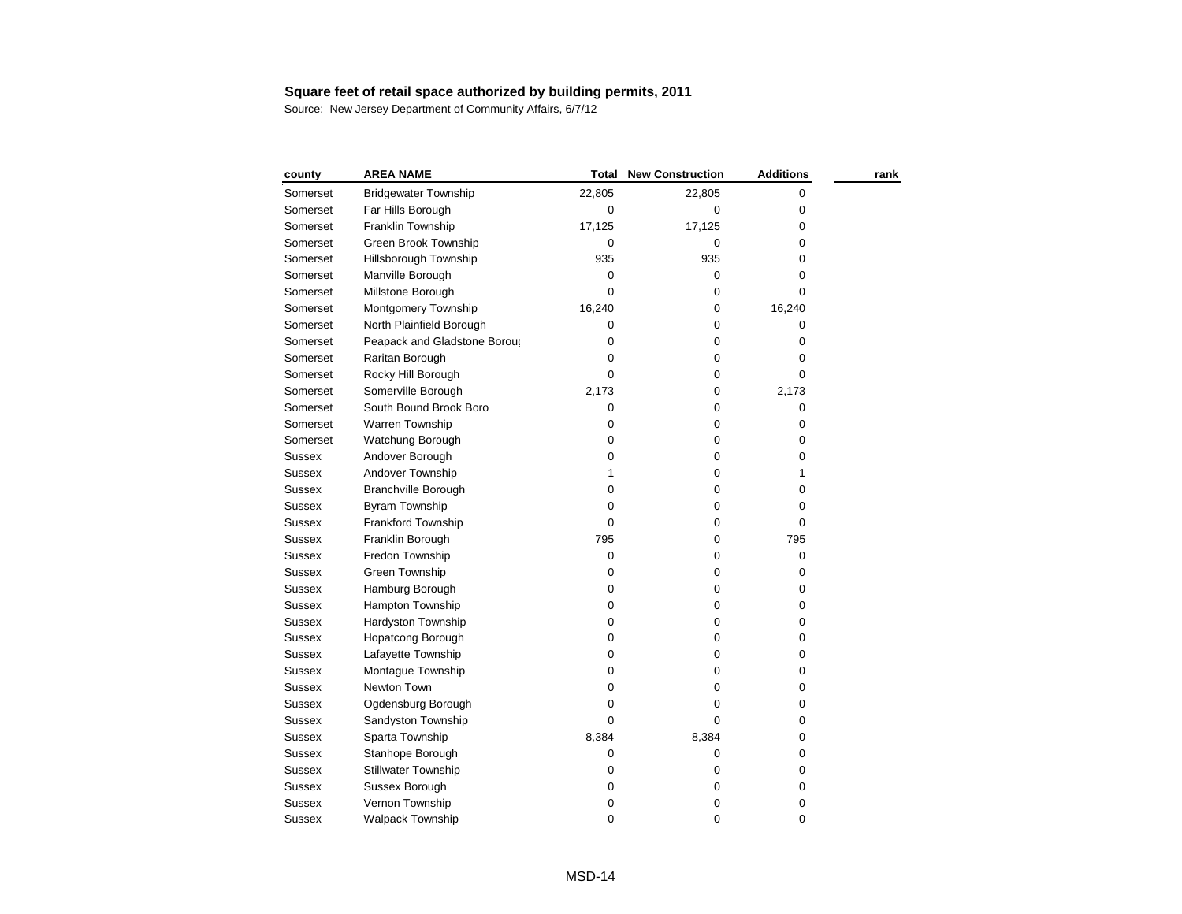| county        | <b>AREA NAME</b>             | <b>Total</b> | <b>New Construction</b> | <b>Additions</b> | rank |
|---------------|------------------------------|--------------|-------------------------|------------------|------|
| Somerset      | <b>Bridgewater Township</b>  | 22,805       | 22,805                  | 0                |      |
| Somerset      | Far Hills Borough            | 0            | 0                       | 0                |      |
| Somerset      | Franklin Township            | 17,125       | 17,125                  | 0                |      |
| Somerset      | Green Brook Township         | 0            | 0                       | 0                |      |
| Somerset      | Hillsborough Township        | 935          | 935                     | 0                |      |
| Somerset      | Manville Borough             | 0            | 0                       | 0                |      |
| Somerset      | Millstone Borough            | 0            | 0                       | 0                |      |
| Somerset      | Montgomery Township          | 16,240       | 0                       | 16,240           |      |
| Somerset      | North Plainfield Borough     | 0            | 0                       | 0                |      |
| Somerset      | Peapack and Gladstone Boroug | 0            | 0                       | 0                |      |
| Somerset      | Raritan Borough              | 0            | 0                       | 0                |      |
| Somerset      | Rocky Hill Borough           | 0            | 0                       | 0                |      |
| Somerset      | Somerville Borough           | 2,173        | 0                       | 2,173            |      |
| Somerset      | South Bound Brook Boro       | 0            | 0                       | 0                |      |
| Somerset      | Warren Township              | 0            | 0                       | 0                |      |
| Somerset      | Watchung Borough             | 0            | 0                       | 0                |      |
| <b>Sussex</b> | Andover Borough              | 0            | 0                       | 0                |      |
| <b>Sussex</b> | Andover Township             | 1            | 0                       |                  |      |
| <b>Sussex</b> | <b>Branchville Borough</b>   | 0            | 0                       | 0                |      |
| <b>Sussex</b> | Byram Township               | 0            | 0                       | 0                |      |
| <b>Sussex</b> | Frankford Township           | 0            | 0                       | 0                |      |
| <b>Sussex</b> | Franklin Borough             | 795          | 0                       | 795              |      |
| <b>Sussex</b> | Fredon Township              | 0            | 0                       | 0                |      |
| <b>Sussex</b> | Green Township               | 0            | 0                       | 0                |      |
| <b>Sussex</b> | Hamburg Borough              | 0            | 0                       | 0                |      |
| <b>Sussex</b> | Hampton Township             | 0            | 0                       | 0                |      |
| <b>Sussex</b> | Hardyston Township           | 0            | 0                       | 0                |      |
| <b>Sussex</b> | Hopatcong Borough            | 0            | 0                       | 0                |      |
| <b>Sussex</b> | Lafayette Township           | 0            | 0                       | 0                |      |
| <b>Sussex</b> | Montague Township            | 0            | 0                       | 0                |      |
| <b>Sussex</b> | Newton Town                  | 0            | 0                       | 0                |      |
| <b>Sussex</b> | Ogdensburg Borough           | 0            | 0                       | 0                |      |
| <b>Sussex</b> | Sandyston Township           | 0            | 0                       | 0                |      |
| <b>Sussex</b> | Sparta Township              | 8,384        | 8,384                   | 0                |      |
| <b>Sussex</b> | Stanhope Borough             | 0            | 0                       | 0                |      |
| <b>Sussex</b> | <b>Stillwater Township</b>   | 0            | 0                       | 0                |      |
| <b>Sussex</b> | Sussex Borough               | 0            | 0                       | 0                |      |
| <b>Sussex</b> | Vernon Township              | 0            | 0                       | 0                |      |
| <b>Sussex</b> | <b>Walpack Township</b>      | 0            | 0                       | 0                |      |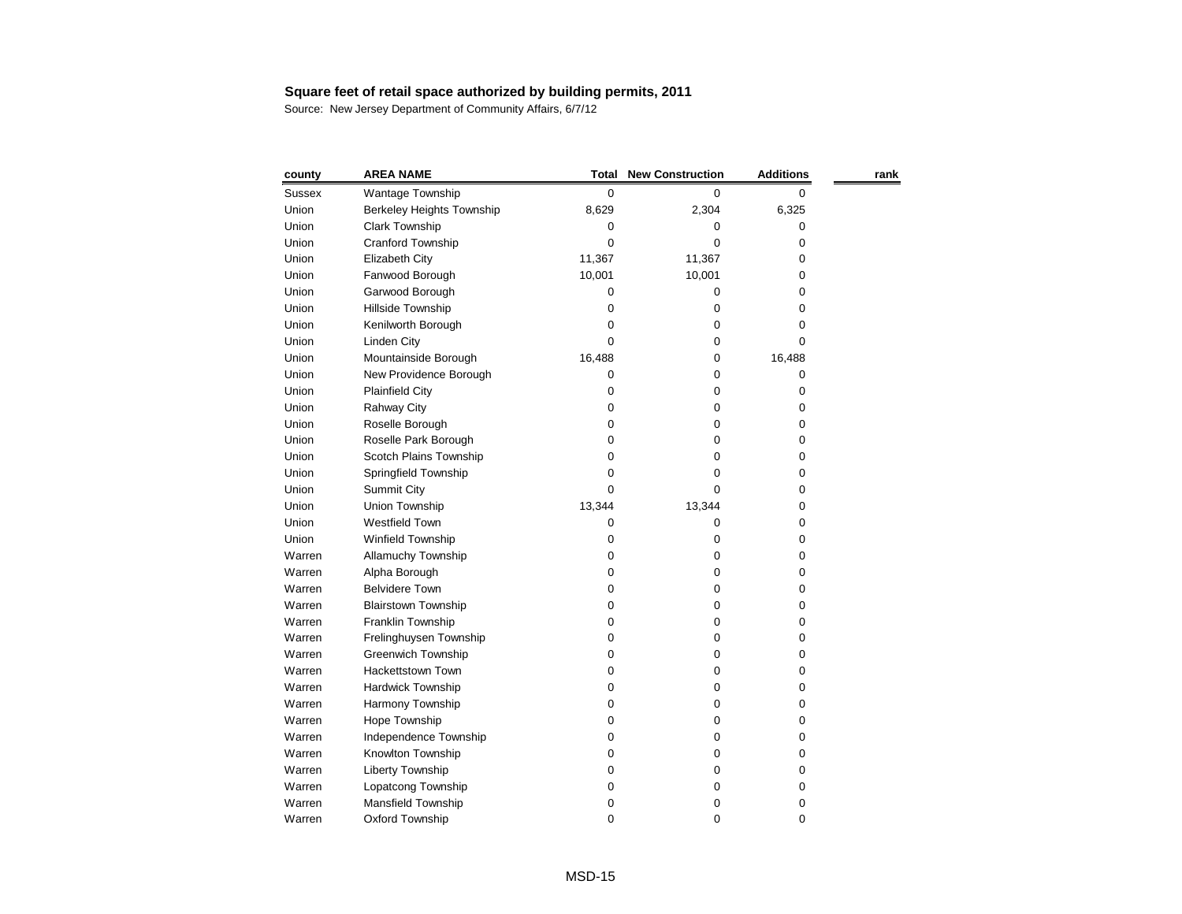| county        | <b>AREA NAME</b>           | <b>Total</b> | <b>New Construction</b> | <b>Additions</b> | rank |
|---------------|----------------------------|--------------|-------------------------|------------------|------|
| <b>Sussex</b> | Wantage Township           | 0            | 0                       | 0                |      |
| Union         | Berkeley Heights Township  | 8,629        | 2,304                   | 6,325            |      |
| Union         | <b>Clark Township</b>      | 0            | 0                       | 0                |      |
| Union         | Cranford Township          | 0            | 0                       | 0                |      |
| Union         | Elizabeth City             | 11,367       | 11,367                  | 0                |      |
| Union         | Fanwood Borough            | 10,001       | 10,001                  | 0                |      |
| Union         | Garwood Borough            | 0            | 0                       | 0                |      |
| Union         | Hillside Township          | 0            | 0                       | 0                |      |
| Union         | Kenilworth Borough         | 0            | 0                       | 0                |      |
| Union         | <b>Linden City</b>         | 0            | 0                       | 0                |      |
| Union         | Mountainside Borough       | 16,488       | 0                       | 16,488           |      |
| Union         | New Providence Borough     | 0            | 0                       | 0                |      |
| Union         | <b>Plainfield City</b>     | 0            | 0                       | 0                |      |
| Union         | Rahway City                | 0            | 0                       | 0                |      |
| Union         | Roselle Borough            | 0            | 0                       | 0                |      |
| Union         | Roselle Park Borough       | 0            | 0                       | 0                |      |
| Union         | Scotch Plains Township     | 0            | 0                       | 0                |      |
| Union         | Springfield Township       | 0            | 0                       | 0                |      |
| Union         | <b>Summit City</b>         | 0            | 0                       | 0                |      |
| Union         | Union Township             | 13,344       | 13,344                  | 0                |      |
| Union         | <b>Westfield Town</b>      | 0            | 0                       | 0                |      |
| Union         | Winfield Township          | 0            | 0                       | 0                |      |
| Warren        | Allamuchy Township         | 0            | 0                       | 0                |      |
| Warren        | Alpha Borough              | 0            | 0                       | 0                |      |
| Warren        | <b>Belvidere Town</b>      | 0            | 0                       | 0                |      |
| Warren        | <b>Blairstown Township</b> | 0            | 0                       | 0                |      |
| Warren        | Franklin Township          | 0            | 0                       | 0                |      |
| Warren        | Frelinghuysen Township     | 0            | 0                       | 0                |      |
| Warren        | Greenwich Township         | 0            | 0                       | 0                |      |
| Warren        | Hackettstown Town          | 0            | 0                       | 0                |      |
| Warren        | Hardwick Township          | 0            | $\boldsymbol{0}$        | 0                |      |
| Warren        | Harmony Township           | 0            | 0                       | 0                |      |
| Warren        | Hope Township              | 0            | 0                       | 0                |      |
| Warren        | Independence Township      | 0            | 0                       | 0                |      |
| Warren        | Knowlton Township          | 0            | 0                       | 0                |      |
| Warren        | Liberty Township           | 0            | 0                       | 0                |      |
| Warren        | Lopatcong Township         | 0            | 0                       | 0                |      |
| Warren        | Mansfield Township         | 0            | 0                       | 0                |      |
| Warren        | Oxford Township            | 0            | 0                       | 0                |      |